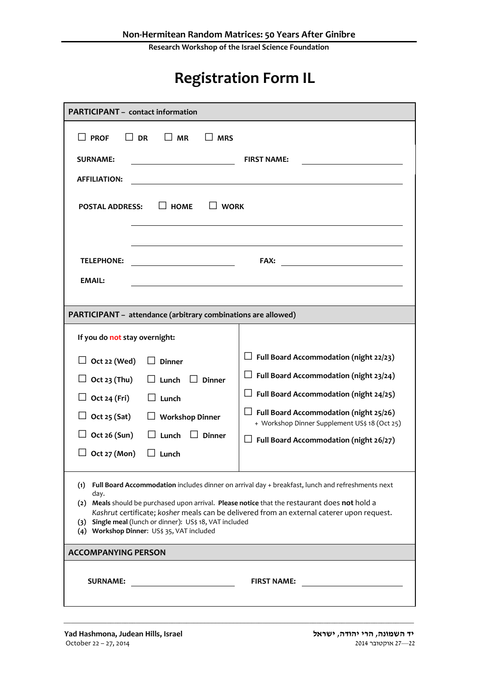**Research Workshop of the Israel Science Foundation**

## **Registration Form IL**

| <b>PARTICIPANT - contact information</b>                                                                                                                                                                                                  |                                                                                                                                                                                                                                                                               |
|-------------------------------------------------------------------------------------------------------------------------------------------------------------------------------------------------------------------------------------------|-------------------------------------------------------------------------------------------------------------------------------------------------------------------------------------------------------------------------------------------------------------------------------|
| <b>PROF</b><br><b>DR</b><br>l I MR<br><b>MRS</b>                                                                                                                                                                                          |                                                                                                                                                                                                                                                                               |
| <b>SURNAME:</b>                                                                                                                                                                                                                           | <b>FIRST NAME:</b>                                                                                                                                                                                                                                                            |
| <b>AFFILIATION:</b>                                                                                                                                                                                                                       |                                                                                                                                                                                                                                                                               |
| $\Box$ HOME<br>  WORK<br><b>POSTAL ADDRESS:</b>                                                                                                                                                                                           |                                                                                                                                                                                                                                                                               |
| <b>TELEPHONE:</b><br><b>EMAIL:</b>                                                                                                                                                                                                        | <b>FAX:</b>                                                                                                                                                                                                                                                                   |
| PARTICIPANT - attendance (arbitrary combinations are allowed)                                                                                                                                                                             |                                                                                                                                                                                                                                                                               |
| If you do not stay overnight:                                                                                                                                                                                                             |                                                                                                                                                                                                                                                                               |
| $\Box$ Oct 22 (Wed)<br><b>Dinner</b><br>Oct 23 (Thu)<br>$\Box$ Lunch<br><b>Dinner</b><br>Oct 24 (Fri)<br>Lunch<br><b>Workshop Dinner</b><br>$\Box$ Oct 25 (Sat)<br>Oct 26 (Sun)<br>Lunch<br><b>Dinner</b><br>Oct 27 (Mon)<br>$\Box$ Lunch | Full Board Accommodation (night 22/23)<br>$\Box$ Full Board Accommodation (night 23/24)<br>$\Box$ Full Board Accommodation (night 24/25)<br>Full Board Accommodation (night 25/26)<br>+ Workshop Dinner Supplement US\$ 18 (Oct 25)<br>Full Board Accommodation (night 26/27) |
| (1)<br>day.<br>(2) Meals should be purchased upon arrival. Please notice that the restaurant does not hold a<br>(3) Single meal (lunch or dinner): US\$ 18, VAT included<br>(4) Workshop Dinner: US\$ 35, VAT included                    | Full Board Accommodation includes dinner on arrival day + breakfast, lunch and refreshments next<br>Kashrut certificate; kosher meals can be delivered from an external caterer upon request.                                                                                 |
| <b>ACCOMPANYING PERSON</b>                                                                                                                                                                                                                |                                                                                                                                                                                                                                                                               |
| <b>SURNAME:</b>                                                                                                                                                                                                                           | <b>FIRST NAME:</b>                                                                                                                                                                                                                                                            |

\_\_\_\_\_\_\_\_\_\_\_\_\_\_\_\_\_\_\_\_\_\_\_\_\_\_\_\_\_\_\_\_\_\_\_\_\_\_\_\_\_\_\_\_\_\_\_\_\_\_\_\_\_\_\_\_\_\_\_\_\_\_\_\_\_\_\_\_\_\_\_\_\_\_\_\_\_\_\_\_\_\_\_\_\_\_\_\_\_\_\_\_\_\_\_\_\_